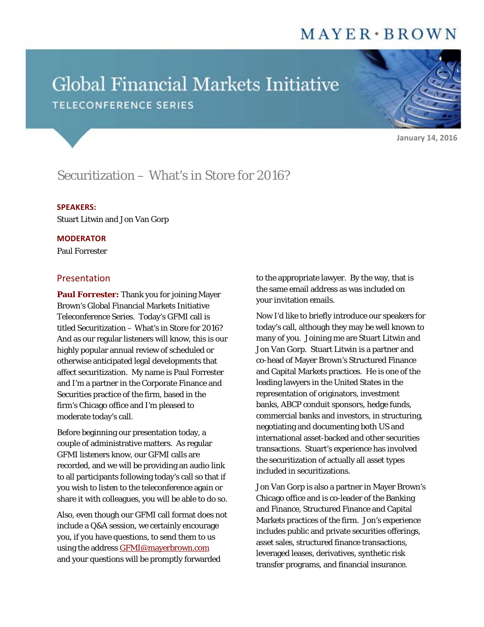# $MAYER*BROMN$

# Global Financial Markets Initiative **TELECONFERENCE SERIES**

**January 14, 2016**

# Securitization – What's in Store for 2016?

#### **SPEAKERS:**

Stuart Litwin and Jon Van Gorp

#### **MODERATOR**

Paul Forrester

## Presentation

**Paul Forrester:** Thank you for joining Mayer Brown's Global Financial Markets Initiative Teleconference Series. Today's GFMI call is titled Securitization – What's in Store for 2016? And as our regular listeners will know, this is our highly popular annual review of scheduled or otherwise anticipated legal developments that affect securitization. My name is Paul Forrester and I'm a partner in the Corporate Finance and Securities practice of the firm, based in the firm's Chicago office and I'm pleased to moderate today's call.

Before beginning our presentation today, a couple of administrative matters. As regular GFMI listeners know, our GFMI calls are recorded, and we will be providing an audio link to all participants following today's call so that if you wish to listen to the teleconference again or share it with colleagues, you will be able to do so.

Also, even though our GFMI call format does not include a Q&A session, we certainly encourage you, if you have questions, to send them to us using the address **GFMI@mayerbrown.com** and your questions will be promptly forwarded

to the appropriate lawyer. By the way, that is the same email address as was included on your invitation emails.

Now I'd like to briefly introduce our speakers for today's call, although they may be well known to many of you. Joining me are Stuart Litwin and Jon Van Gorp. Stuart Litwin is a partner and co-head of Mayer Brown's Structured Finance and Capital Markets practices. He is one of the leading lawyers in the United States in the representation of originators, investment banks, ABCP conduit sponsors, hedge funds, commercial banks and investors, in structuring, negotiating and documenting both US and international asset-backed and other securities transactions. Stuart's experience has involved the securitization of actually all asset types included in securitizations.

Jon Van Gorp is also a partner in Mayer Brown's Chicago office and is co-leader of the Banking and Finance, Structured Finance and Capital Markets practices of the firm. Jon's experience includes public and private securities offerings, asset sales, structured finance transactions, leveraged leases, derivatives, synthetic risk transfer programs, and financial insurance.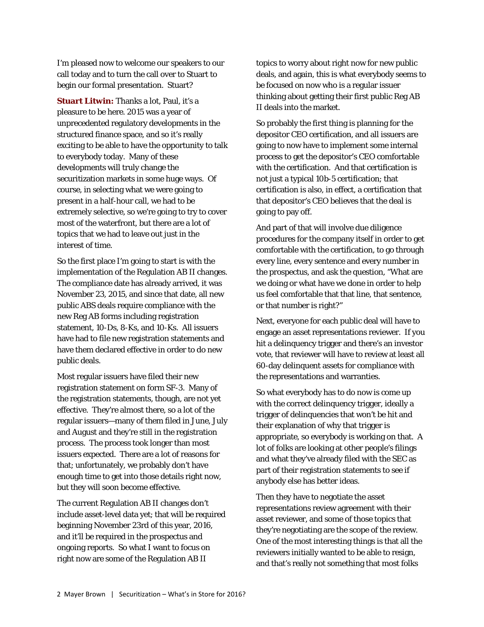I'm pleased now to welcome our speakers to our call today and to turn the call over to Stuart to begin our formal presentation. Stuart?

**Stuart Litwin:** Thanks a lot, Paul, it's a pleasure to be here. 2015 was a year of unprecedented regulatory developments in the structured finance space, and so it's really exciting to be able to have the opportunity to talk to everybody today. Many of these developments will truly change the securitization markets in some huge ways. Of course, in selecting what we were going to present in a half-hour call, we had to be extremely selective, so we're going to try to cover most of the waterfront, but there are a lot of topics that we had to leave out just in the interest of time.

So the first place I'm going to start is with the implementation of the Regulation AB II changes. The compliance date has already arrived, it was November 23, 2015, and since that date, all new public ABS deals require compliance with the new Reg AB forms including registration statement, 10-Ds, 8-Ks, and 10-Ks. All issuers have had to file new registration statements and have them declared effective in order to do new public deals.

Most regular issuers have filed their new registration statement on form SF-3. Many of the registration statements, though, are not yet effective. They're almost there, so a lot of the regular issuers—many of them filed in June, July and August and they're still in the registration process. The process took longer than most issuers expected. There are a lot of reasons for that; unfortunately, we probably don't have enough time to get into those details right now, but they will soon become effective.

The current Regulation AB II changes don't include asset-level data yet; that will be required beginning November 23rd of this year, 2016, and it'll be required in the prospectus and ongoing reports. So what I want to focus on right now are some of the Regulation AB II

topics to worry about right now for new public deals, and again, this is what everybody seems to be focused on now who is a regular issuer thinking about getting their first public Reg AB II deals into the market.

So probably the first thing is planning for the depositor CEO certification, and all issuers are going to now have to implement some internal process to get the depositor's CEO comfortable with the certification. And that certification is not just a typical 10b-5 certification; that certification is also, in effect, a certification that that depositor's CEO believes that the deal is going to pay off.

And part of that will involve due diligence procedures for the company itself in order to get comfortable with the certification, to go through every line, every sentence and every number in the prospectus, and ask the question, "What are we doing or what have we done in order to help us feel comfortable that that line, that sentence, or that number is right?"

Next, everyone for each public deal will have to engage an asset representations reviewer. If you hit a delinquency trigger and there's an investor vote, that reviewer will have to review at least all 60-day delinquent assets for compliance with the representations and warranties.

So what everybody has to do now is come up with the correct delinquency trigger, ideally a trigger of delinquencies that won't be hit and their explanation of why that trigger is appropriate, so everybody is working on that. A lot of folks are looking at other people's filings and what they've already filed with the SEC as part of their registration statements to see if anybody else has better ideas.

Then they have to negotiate the asset representations review agreement with their asset reviewer, and some of those topics that they're negotiating are the scope of the review. One of the most interesting things is that all the reviewers initially wanted to be able to resign, and that's really not something that most folks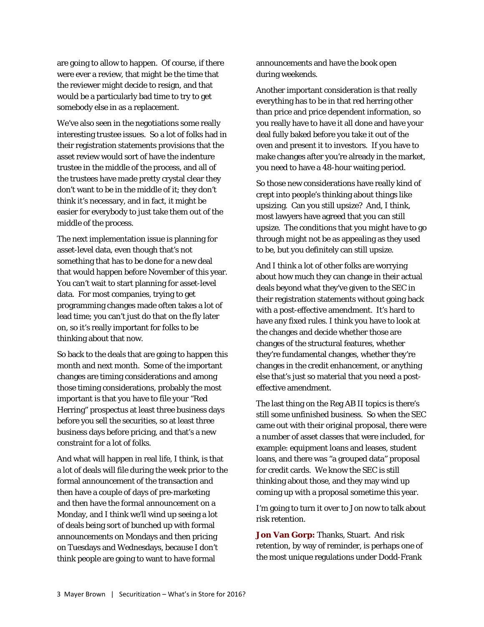are going to allow to happen. Of course, if there were ever a review, that might be the time that the reviewer might decide to resign, and that would be a particularly bad time to try to get somebody else in as a replacement.

We've also seen in the negotiations some really interesting trustee issues. So a lot of folks had in their registration statements provisions that the asset review would sort of have the indenture trustee in the middle of the process, and all of the trustees have made pretty crystal clear they don't want to be in the middle of it; they don't think it's necessary, and in fact, it might be easier for everybody to just take them out of the middle of the process.

The next implementation issue is planning for asset-level data, even though that's not something that has to be done for a new deal that would happen before November of this year. You can't wait to start planning for asset-level data. For most companies, trying to get programming changes made often takes a lot of lead time; you can't just do that on the fly later on, so it's really important for folks to be thinking about that now.

So back to the deals that are going to happen this month and next month. Some of the important changes are timing considerations and among those timing considerations, probably the most important is that you have to file your "Red Herring" prospectus at least three business days before you sell the securities, so at least three business days before pricing, and that's a new constraint for a lot of folks.

And what will happen in real life, I think, is that a lot of deals will file during the week prior to the formal announcement of the transaction and then have a couple of days of pre-marketing and then have the formal announcement on a Monday, and I think we'll wind up seeing a lot of deals being sort of bunched up with formal announcements on Mondays and then pricing on Tuesdays and Wednesdays, because I don't think people are going to want to have formal

announcements and have the book open during weekends.

Another important consideration is that really everything has to be in that red herring other than price and price dependent information, so you really have to have it all done and have your deal fully baked before you take it out of the oven and present it to investors. If you have to make changes after you're already in the market, you need to have a 48-hour waiting period.

So those new considerations have really kind of crept into people's thinking about things like upsizing. Can you still upsize? And, I think, most lawyers have agreed that you can still upsize. The conditions that you might have to go through might not be as appealing as they used to be, but you definitely can still upsize.

And I think a lot of other folks are worrying about how much they can change in their actual deals beyond what they've given to the SEC in their registration statements without going back with a post-effective amendment. It's hard to have any fixed rules. I think you have to look at the changes and decide whether those are changes of the structural features, whether they're fundamental changes, whether they're changes in the credit enhancement, or anything else that's just so material that you need a posteffective amendment.

The last thing on the Reg AB II topics is there's still some unfinished business. So when the SEC came out with their original proposal, there were a number of asset classes that were included, for example: equipment loans and leases, student loans, and there was "a grouped data" proposal for credit cards. We know the SEC is still thinking about those, and they may wind up coming up with a proposal sometime this year.

I'm going to turn it over to Jon now to talk about risk retention.

**Jon Van Gorp:** Thanks, Stuart. And risk retention, by way of reminder, is perhaps one of the most unique regulations under Dodd-Frank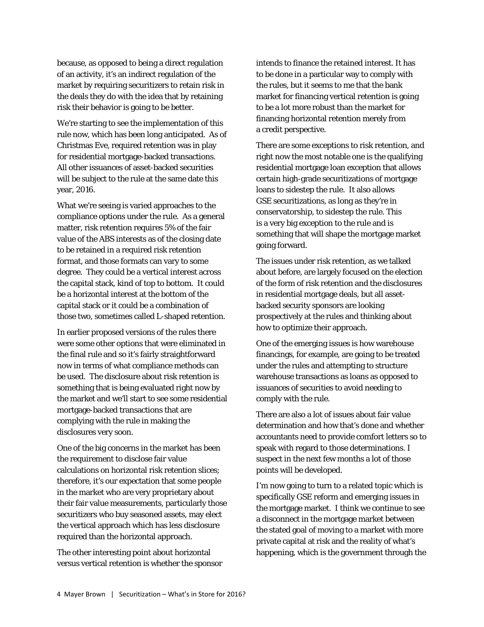because, as opposed to being a direct regulation of an activity, it's an indirect regulation of the market by requiring securitizers to retain risk in the deals they do with the idea that by retaining risk their behavior is going to be better.

We're starting to see the implementation of this rule now, which has been long anticipated. As of Christmas Eve, required retention was in play for residential mortgage-backed transactions. All other issuances of asset-backed securities will be subject to the rule at the same date this year, 2016.

What we're seeing is varied approaches to the compliance options under the rule. As a general matter, risk retention requires 5% of the fair value of the ABS interests as of the closing date to be retained in a required risk retention format, and those formats can vary to some degree. They could be a vertical interest across the capital stack, kind of top to bottom. It could be a horizontal interest at the bottom of the capital stack or it could be a combination of those two, sometimes called L-shaped retention.

In earlier proposed versions of the rules there were some other options that were eliminated in the final rule and so it's fairly straightforward now in terms of what compliance methods can be used. The disclosure about risk retention is something that is being evaluated right now by the market and we'll start to see some residential mortgage-backed transactions that are complying with the rule in making the disclosures very soon.

One of the big concerns in the market has been the requirement to disclose fair value calculations on horizontal risk retention slices; therefore, it's our expectation that some people in the market who are very proprietary about their fair value measurements, particularly those securitizers who buy seasoned assets, may elect the vertical approach which has less disclosure required than the horizontal approach.

The other interesting point about horizontal versus vertical retention is whether the sponsor intends to finance the retained interest. It has to be done in a particular way to comply with the rules, but it seems to me that the bank market for financing vertical retention is going to be a lot more robust than the market for financing horizontal retention merely from a credit perspective.

There are some exceptions to risk retention, and right now the most notable one is the qualifying residential mortgage loan exception that allows certain high-grade securitizations of mortgage loans to sidestep the rule. It also allows GSE securitizations, as long as they're in conservatorship, to sidestep the rule. This is a very big exception to the rule and is something that will shape the mortgage market going forward.

The issues under risk retention, as we talked about before, are largely focused on the election of the form of risk retention and the disclosures in residential mortgage deals, but all assetbacked security sponsors are looking prospectively at the rules and thinking about how to optimize their approach.

One of the emerging issues is how warehouse financings, for example, are going to be treated under the rules and attempting to structure warehouse transactions as loans as opposed to issuances of securities to avoid needing to comply with the rule.

There are also a lot of issues about fair value determination and how that's done and whether accountants need to provide comfort letters so to speak with regard to those determinations. I suspect in the next few months a lot of those points will be developed.

I'm now going to turn to a related topic which is specifically GSE reform and emerging issues in the mortgage market. I think we continue to see a disconnect in the mortgage market between the stated goal of moving to a market with more private capital at risk and the reality of what's happening, which is the government through the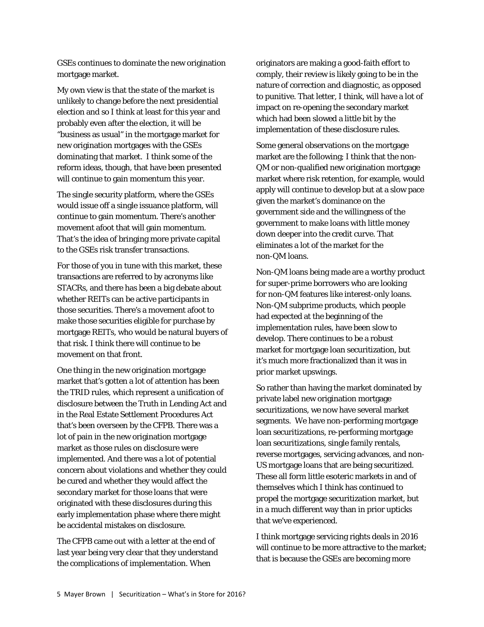GSEs continues to dominate the new origination mortgage market.

My own view is that the state of the market is unlikely to change before the next presidential election and so I think at least for this year and probably even after the election, it will be "business as usual" in the mortgage market for new origination mortgages with the GSEs dominating that market. I think some of the reform ideas, though, that have been presented will continue to gain momentum this year.

The single security platform, where the GSEs would issue off a single issuance platform, will continue to gain momentum. There's another movement afoot that will gain momentum. That's the idea of bringing more private capital to the GSEs risk transfer transactions.

For those of you in tune with this market, these transactions are referred to by acronyms like STACRs, and there has been a big debate about whether REITs can be active participants in those securities. There's a movement afoot to make those securities eligible for purchase by mortgage REITs, who would be natural buyers of that risk. I think there will continue to be movement on that front.

One thing in the new origination mortgage market that's gotten a lot of attention has been the TRID rules, which represent a unification of disclosure between the Truth in Lending Act and in the Real Estate Settlement Procedures Act that's been overseen by the CFPB. There was a lot of pain in the new origination mortgage market as those rules on disclosure were implemented. And there was a lot of potential concern about violations and whether they could be cured and whether they would affect the secondary market for those loans that were originated with these disclosures during this early implementation phase where there might be accidental mistakes on disclosure.

The CFPB came out with a letter at the end of last year being very clear that they understand the complications of implementation. When

originators are making a good-faith effort to comply, their review is likely going to be in the nature of correction and diagnostic, as opposed to punitive. That letter, I think, will have a lot of impact on re-opening the secondary market which had been slowed a little bit by the implementation of these disclosure rules.

Some general observations on the mortgage market are the following; I think that the non-QM or non-qualified new origination mortgage market where risk retention, for example, would apply will continue to develop but at a slow pace given the market's dominance on the government side and the willingness of the government to make loans with little money down deeper into the credit curve. That eliminates a lot of the market for the non-QM loans.

Non-QM loans being made are a worthy product for super-prime borrowers who are looking for non-QM features like interest-only loans. Non-QM subprime products, which people had expected at the beginning of the implementation rules, have been slow to develop. There continues to be a robust market for mortgage loan securitization, but it's much more fractionalized than it was in prior market upswings.

So rather than having the market dominated by private label new origination mortgage securitizations, we now have several market segments. We have non-performing mortgage loan securitizations, re-performing mortgage loan securitizations, single family rentals, reverse mortgages, servicing advances, and non-US mortgage loans that are being securitized. These all form little esoteric markets in and of themselves which I think has continued to propel the mortgage securitization market, but in a much different way than in prior upticks that we've experienced.

I think mortgage servicing rights deals in 2016 will continue to be more attractive to the market; that is because the GSEs are becoming more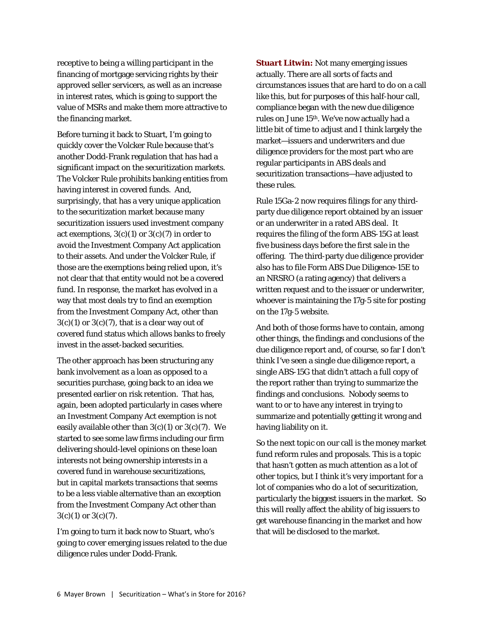receptive to being a willing participant in the financing of mortgage servicing rights by their approved seller servicers, as well as an increase in interest rates, which is going to support the value of MSRs and make them more attractive to the financing market.

Before turning it back to Stuart, I'm going to quickly cover the Volcker Rule because that's another Dodd-Frank regulation that has had a significant impact on the securitization markets. The Volcker Rule prohibits banking entities from having interest in covered funds. And, surprisingly, that has a very unique application to the securitization market because many securitization issuers used investment company act exemptions,  $3(c)(1)$  or  $3(c)(7)$  in order to avoid the Investment Company Act application to their assets. And under the Volcker Rule, if those are the exemptions being relied upon, it's not clear that that entity would not be a covered fund. In response, the market has evolved in a way that most deals try to find an exemption from the Investment Company Act, other than  $3(c)(1)$  or  $3(c)(7)$ , that is a clear way out of covered fund status which allows banks to freely invest in the asset-backed securities.

The other approach has been structuring any bank involvement as a loan as opposed to a securities purchase, going back to an idea we presented earlier on risk retention. That has, again, been adopted particularly in cases where an Investment Company Act exemption is not easily available other than  $3(c)(1)$  or  $3(c)(7)$ . We started to see some law firms including our firm delivering should-level opinions on these loan interests not being ownership interests in a covered fund in warehouse securitizations, but in capital markets transactions that seems to be a less viable alternative than an exception from the Investment Company Act other than  $3(c)(1)$  or  $3(c)(7)$ .

I'm going to turn it back now to Stuart, who's going to cover emerging issues related to the due diligence rules under Dodd-Frank.

**Stuart Litwin:** Not many emerging issues actually. There are all sorts of facts and circumstances issues that are hard to do on a call like this, but for purposes of this half-hour call, compliance began with the new due diligence rules on June 15th. We've now actually had a little bit of time to adjust and I think largely the market—issuers and underwriters and due diligence providers for the most part who are regular participants in ABS deals and securitization transactions—have adjusted to these rules.

Rule 15Ga-2 now requires filings for any thirdparty due diligence report obtained by an issuer or an underwriter in a rated ABS deal. It requires the filing of the form ABS-15G at least five business days before the first sale in the offering. The third-party due diligence provider also has to file Form ABS Due Diligence-15E to an NRSRO (a rating agency) that delivers a written request and to the issuer or underwriter, whoever is maintaining the 17g-5 site for posting on the 17g-5 website.

And both of those forms have to contain, among other things, the findings and conclusions of the due diligence report and, of course, so far I don't think I've seen a single due diligence report, a single ABS-15G that didn't attach a full copy of the report rather than trying to summarize the findings and conclusions. Nobody seems to want to or to have any interest in trying to summarize and potentially getting it wrong and having liability on it.

So the next topic on our call is the money market fund reform rules and proposals. This is a topic that hasn't gotten as much attention as a lot of other topics, but I think it's very important for a lot of companies who do a lot of securitization, particularly the biggest issuers in the market. So this will really affect the ability of big issuers to get warehouse financing in the market and how that will be disclosed to the market.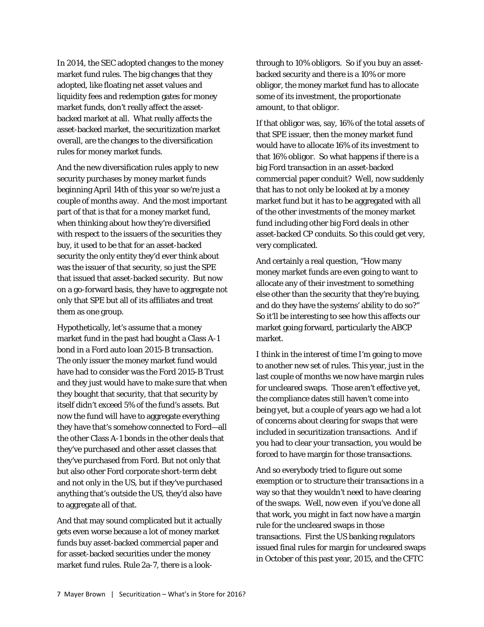In 2014, the SEC adopted changes to the money market fund rules. The big changes that they adopted, like floating net asset values and liquidity fees and redemption gates for money market funds, don't really affect the assetbacked market at all. What really affects the asset-backed market, the securitization market overall, are the changes to the diversification rules for money market funds.

And the new diversification rules apply to new security purchases by money market funds beginning April 14th of this year so we're just a couple of months away. And the most important part of that is that for a money market fund, when thinking about how they're diversified with respect to the issuers of the securities they buy, it used to be that for an asset-backed security the only entity they'd ever think about was the issuer of that security, so just the SPE that issued that asset-backed security. But now on a go-forward basis, they have to aggregate not only that SPE but all of its affiliates and treat them as one group.

Hypothetically, let's assume that a money market fund in the past had bought a Class A-1 bond in a Ford auto loan 2015-B transaction. The only issuer the money market fund would have had to consider was the Ford 2015-B Trust and they just would have to make sure that when they bought that security, that that security by itself didn't exceed 5% of the fund's assets. But now the fund will have to aggregate everything they have that's somehow connected to Ford—all the other Class A-1 bonds in the other deals that they've purchased and other asset classes that they've purchased from Ford. But not only that but also other Ford corporate short-term debt and not only in the US, but if they've purchased anything that's outside the US, they'd also have to aggregate all of that.

And that may sound complicated but it actually gets even worse because a lot of money market funds buy asset-backed commercial paper and for asset-backed securities under the money market fund rules. Rule 2a-7, there is a lookthrough to 10% obligors. So if you buy an assetbacked security and there is a 10% or more obligor, the money market fund has to allocate some of its investment, the proportionate amount, to that obligor.

If that obligor was, say, 16% of the total assets of that SPE issuer, then the money market fund would have to allocate 16% of its investment to that 16% obligor. So what happens if there is a big Ford transaction in an asset-backed commercial paper conduit? Well, now suddenly that has to not only be looked at by a money market fund but it has to be aggregated with all of the other investments of the money market fund including other big Ford deals in other asset-backed CP conduits. So this could get very, very complicated.

And certainly a real question, "How many money market funds are even going to want to allocate any of their investment to something else other than the security that they're buying, and do they have the systems' ability to do so?" So it'll be interesting to see how this affects our market going forward, particularly the ABCP market.

I think in the interest of time I'm going to move to another new set of rules. This year, just in the last couple of months we now have margin rules for uncleared swaps. Those aren't effective yet, the compliance dates still haven't come into being yet, but a couple of years ago we had a lot of concerns about clearing for swaps that were included in securitization transactions. And if you had to clear your transaction, you would be forced to have margin for those transactions.

And so everybody tried to figure out some exemption or to structure their transactions in a way so that they wouldn't need to have clearing of the swaps. Well, now even if you've done all that work, you might in fact now have a margin rule for the uncleared swaps in those transactions. First the US banking regulators issued final rules for margin for uncleared swaps in October of this past year, 2015, and the CFTC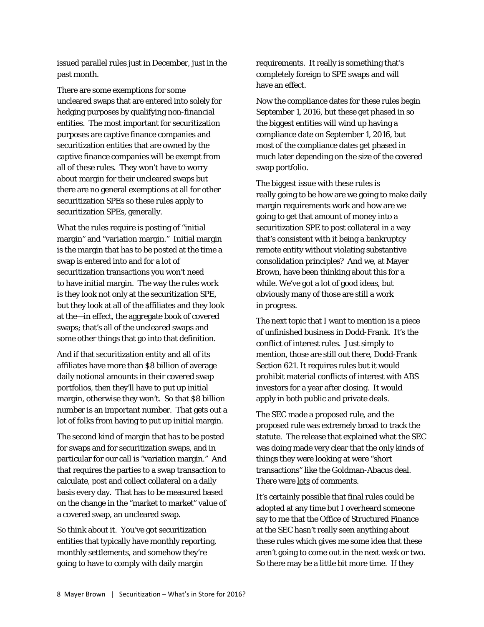issued parallel rules just in December, just in the past month.

There are some exemptions for some uncleared swaps that are entered into solely for hedging purposes by qualifying non-financial entities. The most important for securitization purposes are captive finance companies and securitization entities that are owned by the captive finance companies will be exempt from all of these rules. They won't have to worry about margin for their uncleared swaps but there are no general exemptions at all for other securitization SPEs so these rules apply to securitization SPEs, generally.

What the rules require is posting of "initial margin" and "variation margin." Initial margin is the margin that has to be posted at the time a swap is entered into and for a lot of securitization transactions you won't need to have initial margin. The way the rules work is they look not only at the securitization SPE, but they look at all of the affiliates and they look at the—in effect, the aggregate book of covered swaps; that's all of the uncleared swaps and some other things that go into that definition.

And if that securitization entity and all of its affiliates have more than \$8 billion of average daily notional amounts in their covered swap portfolios, then they'll have to put up initial margin, otherwise they won't. So that \$8 billion number is an important number. That gets out a lot of folks from having to put up initial margin.

The second kind of margin that has to be posted for swaps and for securitization swaps, and in particular for our call is "variation margin." And that requires the parties to a swap transaction to calculate, post and collect collateral on a daily basis every day. That has to be measured based on the change in the "market to market" value of a covered swap, an uncleared swap.

So think about it. You've got securitization entities that typically have monthly reporting, monthly settlements, and somehow they're going to have to comply with daily margin

requirements. It really is something that's completely foreign to SPE swaps and will have an effect.

Now the compliance dates for these rules begin September 1, 2016, but these get phased in so the biggest entities will wind up having a compliance date on September 1, 2016, but most of the compliance dates get phased in much later depending on the size of the covered swap portfolio.

The biggest issue with these rules is really going to be how are we going to make daily margin requirements work and how are we going to get that amount of money into a securitization SPE to post collateral in a way that's consistent with it being a bankruptcy remote entity without violating substantive consolidation principles? And we, at Mayer Brown, have been thinking about this for a while. We've got a lot of good ideas, but obviously many of those are still a work in progress.

The next topic that I want to mention is a piece of unfinished business in Dodd-Frank. It's the conflict of interest rules. Just simply to mention, those are still out there, Dodd-Frank Section 621. It requires rules but it would prohibit material conflicts of interest with ABS investors for a year after closing. It would apply in both public and private deals.

The SEC made a proposed rule, and the proposed rule was extremely broad to track the statute. The release that explained what the SEC was doing made very clear that the only kinds of things they were looking at were "short transactions" like the Goldman-Abacus deal. There were lots of comments.

It's certainly possible that final rules could be adopted at any time but I overheard someone say to me that the Office of Structured Finance at the SEC hasn't really seen anything about these rules which gives me some idea that these aren't going to come out in the next week or two. So there may be a little bit more time. If they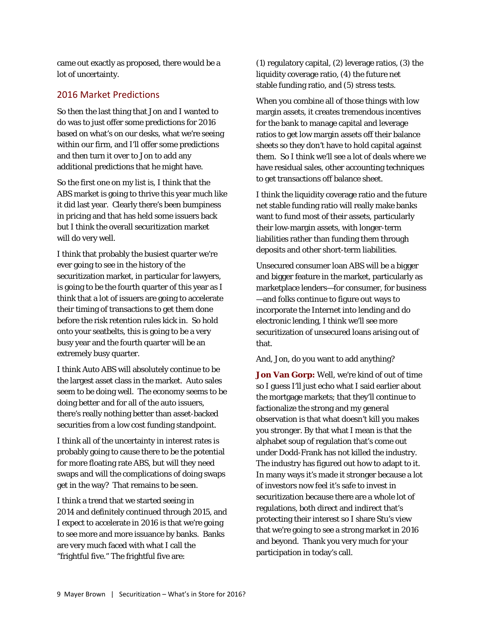came out exactly as proposed, there would be a lot of uncertainty.

# 2016 Market Predictions

So then the last thing that Jon and I wanted to do was to just offer some predictions for 2016 based on what's on our desks, what we're seeing within our firm, and I'll offer some predictions and then turn it over to Jon to add any additional predictions that he might have.

So the first one on my list is, I think that the ABS market is going to thrive this year much like it did last year. Clearly there's been bumpiness in pricing and that has held some issuers back but I think the overall securitization market will do very well.

I think that probably the busiest quarter we're ever going to see in the history of the securitization market, in particular for lawyers, is going to be the fourth quarter of this year as I think that a lot of issuers are going to accelerate their timing of transactions to get them done before the risk retention rules kick in. So hold onto your seatbelts, this is going to be a very busy year and the fourth quarter will be an extremely busy quarter.

I think Auto ABS will absolutely continue to be the largest asset class in the market. Auto sales seem to be doing well. The economy seems to be doing better and for all of the auto issuers, there's really nothing better than asset-backed securities from a low cost funding standpoint.

I think all of the uncertainty in interest rates is probably going to cause there to be the potential for more floating rate ABS, but will they need swaps and will the complications of doing swaps get in the way? That remains to be seen.

I think a trend that we started seeing in 2014 and definitely continued through 2015, and I expect to accelerate in 2016 is that we're going to see more and more issuance by banks. Banks are very much faced with what I call the "frightful five." The frightful five are:

(1) regulatory capital, (2) leverage ratios, (3) the liquidity coverage ratio, (4) the future net stable funding ratio, and (5) stress tests.

When you combine all of those things with low margin assets, it creates tremendous incentives for the bank to manage capital and leverage ratios to get low margin assets off their balance sheets so they don't have to hold capital against them. So I think we'll see a lot of deals where we have residual sales, other accounting techniques to get transactions off balance sheet.

I think the liquidity coverage ratio and the future net stable funding ratio will really make banks want to fund most of their assets, particularly their low-margin assets, with longer-term liabilities rather than funding them through deposits and other short-term liabilities.

Unsecured consumer loan ABS will be a bigger and bigger feature in the market, particularly as marketplace lenders—for consumer, for business —and folks continue to figure out ways to incorporate the Internet into lending and do electronic lending, I think we'll see more securitization of unsecured loans arising out of that.

And, Jon, do you want to add anything?

**Jon Van Gorp:** Well, we're kind of out of time so I guess I'll just echo what I said earlier about the mortgage markets; that they'll continue to factionalize the strong and my general observation is that what doesn't kill you makes you stronger. By that what I mean is that the alphabet soup of regulation that's come out under Dodd-Frank has not killed the industry. The industry has figured out how to adapt to it. In many ways it's made it stronger because a lot of investors now feel it's safe to invest in securitization because there are a whole lot of regulations, both direct and indirect that's protecting their interest so I share Stu's view that we're going to see a strong market in 2016 and beyond. Thank you very much for your participation in today's call.